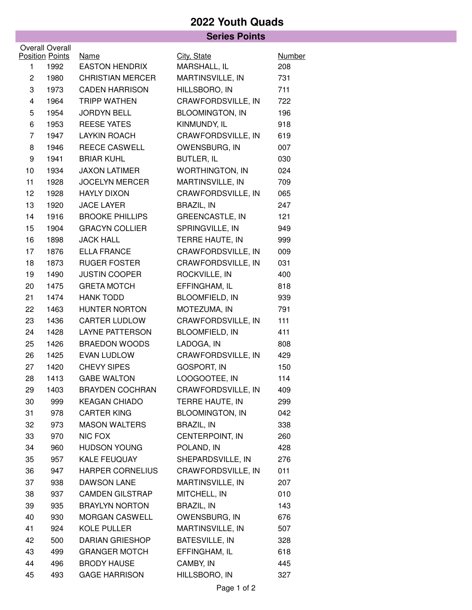## **2022 Youth Quads**

## **Series Points**

|                | <b>Overall Overall</b>         |                                      |                             |                      |
|----------------|--------------------------------|--------------------------------------|-----------------------------|----------------------|
| 1              | <b>Position Points</b><br>1992 | <u>Name</u><br><b>EASTON HENDRIX</b> | City, State<br>MARSHALL, IL | <b>Number</b><br>208 |
| $\overline{c}$ | 1980                           | <b>CHRISTIAN MERCER</b>              | MARTINSVILLE, IN            | 731                  |
| 3              | 1973                           | <b>CADEN HARRISON</b>                | HILLSBORO, IN               | 711                  |
| 4              | 1964                           | <b>TRIPP WATHEN</b>                  | CRAWFORDSVILLE, IN          | 722                  |
| 5              | 1954                           | <b>JORDYN BELL</b>                   | <b>BLOOMINGTON, IN</b>      | 196                  |
| 6              | 1953                           | <b>REESE YATES</b>                   | KINMUNDY, IL                | 918                  |
| 7              | 1947                           | <b>LAYKIN ROACH</b>                  | CRAWFORDSVILLE, IN          | 619                  |
| 8              | 1946                           | <b>REECE CASWELL</b>                 | OWENSBURG, IN               | 007                  |
| 9              | 1941                           | <b>BRIAR KUHL</b>                    | BUTLER, IL                  | 030                  |
| 10             | 1934                           | <b>JAXON LATIMER</b>                 | <b>WORTHINGTON, IN</b>      | 024                  |
| 11             | 1928                           | <b>JOCELYN MERCER</b>                | MARTINSVILLE, IN            | 709                  |
| 12             | 1928                           | <b>HAYLY DIXON</b>                   | CRAWFORDSVILLE, IN          | 065                  |
| 13             | 1920                           | <b>JACE LAYER</b>                    | <b>BRAZIL, IN</b>           | 247                  |
| 14             | 1916                           | <b>BROOKE PHILLIPS</b>               | <b>GREENCASTLE, IN</b>      | 121                  |
| 15             | 1904                           | <b>GRACYN COLLIER</b>                | SPRINGVILLE, IN             | 949                  |
| 16             | 1898                           | <b>JACK HALL</b>                     | TERRE HAUTE, IN             | 999                  |
| 17             | 1876                           | <b>ELLA FRANCE</b>                   | CRAWFORDSVILLE, IN          | 009                  |
| 18             | 1873                           | <b>RUGER FOSTER</b>                  | CRAWFORDSVILLE, IN          | 031                  |
| 19             | 1490                           | <b>JUSTIN COOPER</b>                 | ROCKVILLE, IN               | 400                  |
| 20             | 1475                           | <b>GRETA MOTCH</b>                   | EFFINGHAM, IL               | 818                  |
| 21             | 1474                           | <b>HANK TODD</b>                     | <b>BLOOMFIELD, IN</b>       | 939                  |
| 22             | 1463                           | HUNTER NORTON                        | MOTEZUMA, IN                | 791                  |
| 23             | 1436                           | <b>CARTER LUDLOW</b>                 | CRAWFORDSVILLE, IN          | 111                  |
| 24             | 1428                           | <b>LAYNE PATTERSON</b>               | <b>BLOOMFIELD, IN</b>       | 411                  |
| 25             | 1426                           | <b>BRAEDON WOODS</b>                 | LADOGA, IN                  | 808                  |
| 26             | 1425                           | EVAN LUDLOW                          | CRAWFORDSVILLE, IN          | 429                  |
| 27             | 1420                           | <b>CHEVY SIPES</b>                   | <b>GOSPORT, IN</b>          | 150                  |
| 28             | 1413                           | <b>GABE WALTON</b>                   | LOOGOOTEE, IN               | 114                  |
| 29             | 1403                           | <b>BRAYDEN COCHRAN</b>               | CRAWFORDSVILLE, IN          | 409                  |
| 30             | 999                            | <b>KEAGAN CHIADO</b>                 | TERRE HAUTE, IN             | 299                  |
| 31             | 978                            | <b>CARTER KING</b>                   | <b>BLOOMINGTON, IN</b>      | 042                  |
| 32             | 973                            | <b>MASON WALTERS</b>                 | <b>BRAZIL, IN</b>           | 338                  |
| 33             | 970                            | NIC FOX                              | CENTERPOINT, IN             | 260                  |
| 34             | 960                            | <b>HUDSON YOUNG</b>                  | POLAND, IN                  | 428                  |
| 35             | 957                            | KALE FEUQUAY                         | SHEPARDSVILLE, IN           | 276                  |
| 36             | 947                            | <b>HARPER CORNELIUS</b>              | CRAWFORDSVILLE, IN          | 011                  |
| 37             | 938                            | DAWSON LANE                          | MARTINSVILLE, IN            | 207                  |
| 38             | 937                            | <b>CAMDEN GILSTRAP</b>               | MITCHELL, IN                | 010                  |
| 39             | 935                            | <b>BRAYLYN NORTON</b>                | BRAZIL, IN                  | 143                  |
| 40             | 930                            | <b>MORGAN CASWELL</b>                | OWENSBURG, IN               | 676                  |
| 41             | 924                            | KOLE PULLER                          | MARTINSVILLE, IN            | 507                  |
| 42             | 500                            | <b>DARIAN GRIESHOP</b>               | BATESVILLE, IN              | 328                  |
| 43             | 499                            | <b>GRANGER MOTCH</b>                 | EFFINGHAM, IL               | 618                  |
| 44             | 496                            | <b>BRODY HAUSE</b>                   | CAMBY, IN                   | 445                  |
| 45             | 493                            | <b>GAGE HARRISON</b>                 | HILLSBORO, IN               | 327                  |
|                |                                |                                      |                             |                      |